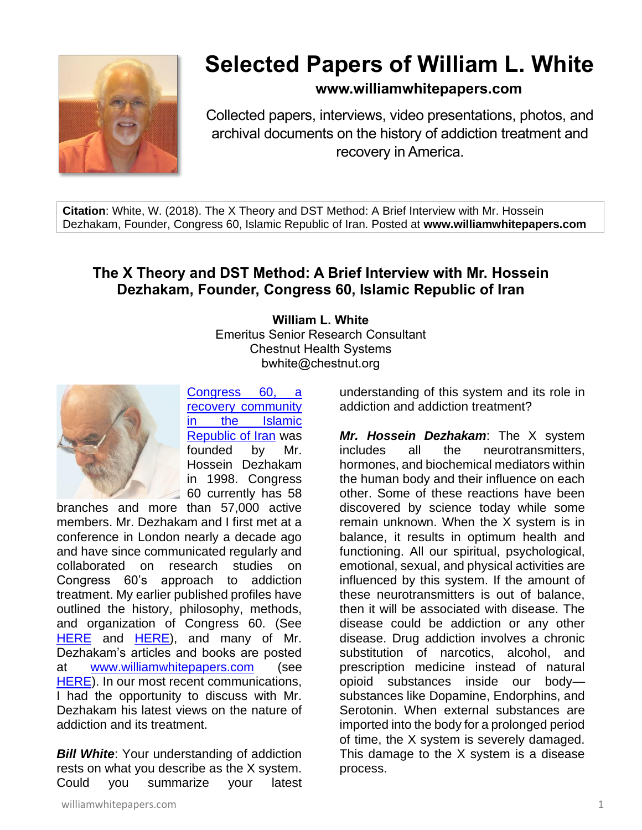

## **Selected Papers of William L. White**

## **www.williamwhitepapers.com**

Collected papers, interviews, video presentations, photos, and archival documents on the history of addiction treatment and recovery in America.

**Citation**: White, W. (2018). The X Theory and DST Method: A Brief Interview with Mr. Hossein Dezhakam, Founder, Congress 60, Islamic Republic of Iran. Posted at **www.williamwhitepapers.com**

## **The X Theory and DST Method: A Brief Interview with Mr. Hossein Dezhakam, Founder, Congress 60, Islamic Republic of Iran**

**William L. White** Emeritus Senior Research Consultant Chestnut Health Systems bwhite@chestnut.org



[Congress 60, a](http://congress60.org/EnUs/)  [recovery community](http://congress60.org/EnUs/)  [in the Islamic](http://congress60.org/EnUs/)  [Republic of Iran](http://congress60.org/EnUs/) was founded by Mr. Hossein Dezhakam in 1998. Congress 60 currently has 58

branches and more than 57,000 active members. Mr. Dezhakam and I first met at a conference in London nearly a decade ago and have since communicated regularly and<br>collaborated on research studies on research studies on Congress 60's approach to addiction treatment. My earlier published profiles have outlined the history, philosophy, methods, and organization of Congress 60. (See [HERE](http://www.williamwhitepapers.com/pr/2015%20Congress%2060%20Recovery%20Community%20in%20the%20Islamic%20Republic%20of%20Iran.pdf) and [HERE\)](http://www.williamwhitepapers.com/pr/2016%20Smoking%20Cessation%20within%20Iranian%20Recovery%20Community%20%28Congress%2060%29.pdf), and many of Mr. Dezhakam's articles and books are posted at [www.williamwhitepapers.com](http://www.williamwhitepapers.com/) (see [HERE\)](http://www.williamwhitepapers.com/friends_favorites/). In our most recent communications, I had the opportunity to discuss with Mr. Dezhakam his latest views on the nature of addiction and its treatment.

*Bill White:* Your understanding of addiction rests on what you describe as the X system. Could you summarize your latest

understanding of this system and its role in addiction and addiction treatment?

*Mr. Hossein Dezhakam*: The X system includes all the neurotransmitters, hormones, and biochemical mediators within the human body and their influence on each other. Some of these reactions have been discovered by science today while some remain unknown. When the X system is in balance, it results in optimum health and functioning. All our spiritual, psychological, emotional, sexual, and physical activities are influenced by this system. If the amount of these neurotransmitters is out of balance, then it will be associated with disease. The disease could be addiction or any other disease. Drug addiction involves a chronic substitution of narcotics, alcohol, and prescription medicine instead of natural opioid substances inside our body substances like Dopamine, Endorphins, and Serotonin. When external substances are imported into the body for a prolonged period of time, the X system is severely damaged. This damage to the X system is a disease process.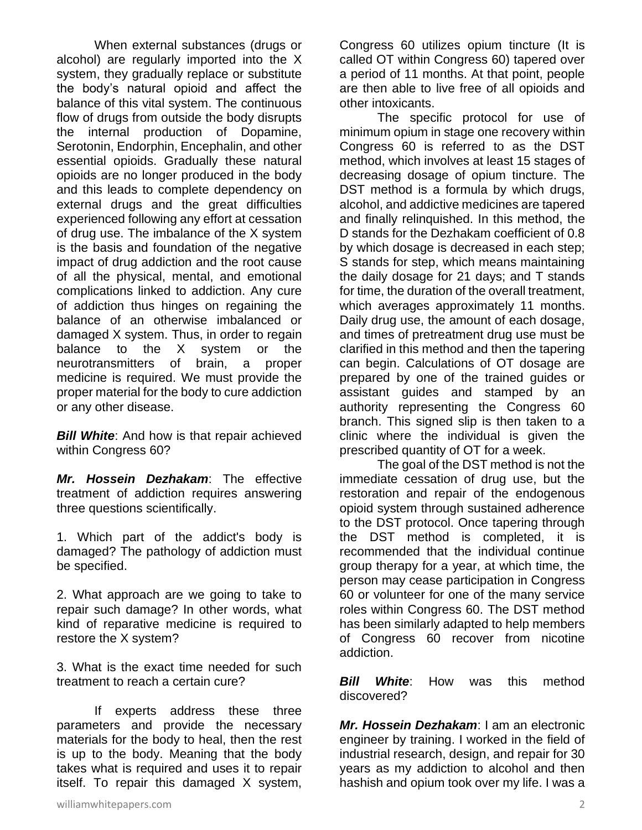When external substances (drugs or alcohol) are regularly imported into the X system, they gradually replace or substitute the body's natural opioid and affect the balance of this vital system. The continuous flow of drugs from outside the body disrupts the internal production of Dopamine, Serotonin, Endorphin, Encephalin, and other essential opioids. Gradually these natural opioids are no longer produced in the body and this leads to complete dependency on external drugs and the great difficulties experienced following any effort at cessation of drug use. The imbalance of the X system is the basis and foundation of the negative impact of drug addiction and the root cause of all the physical, mental, and emotional complications linked to addiction. Any cure of addiction thus hinges on regaining the balance of an otherwise imbalanced or damaged X system. Thus, in order to regain balance to the X system or the neurotransmitters of brain, a proper medicine is required. We must provide the proper material for the body to cure addiction or any other disease.

**Bill White:** And how is that repair achieved within Congress 60?

*Mr. Hossein Dezhakam*: The effective treatment of addiction requires answering three questions scientifically.

1. Which part of the addict's body is damaged? The pathology of addiction must be specified.

2. What approach are we going to take to repair such damage? In other words, what kind of reparative medicine is required to restore the X system?

3. What is the exact time needed for such treatment to reach a certain cure?

If experts address these three parameters and provide the necessary materials for the body to heal, then the rest is up to the body. Meaning that the body takes what is required and uses it to repair itself. To repair this damaged X system,

Congress 60 utilizes opium tincture (It is called OT within Congress 60) tapered over a period of 11 months. At that point, people are then able to live free of all opioids and other intoxicants.

The specific protocol for use of minimum opium in stage one recovery within Congress 60 is referred to as the DST method, which involves at least 15 stages of decreasing dosage of opium tincture. The DST method is a formula by which drugs, alcohol, and addictive medicines are tapered and finally relinquished. In this method, the D stands for the Dezhakam coefficient of 0.8 by which dosage is decreased in each step; S stands for step, which means maintaining the daily dosage for 21 days; and T stands for time, the duration of the overall treatment, which averages approximately 11 months. Daily drug use, the amount of each dosage, and times of pretreatment drug use must be clarified in this method and then the tapering can begin. Calculations of OT dosage are prepared by one of the trained guides or assistant guides and stamped by an authority representing the Congress 60 branch. This signed slip is then taken to a clinic where the individual is given the prescribed quantity of OT for a week.

The goal of the DST method is not the immediate cessation of drug use, but the restoration and repair of the endogenous opioid system through sustained adherence to the DST protocol. Once tapering through the DST method is completed, it is recommended that the individual continue group therapy for a year, at which time, the person may cease participation in Congress 60 or volunteer for one of the many service roles within Congress 60. The DST method has been similarly adapted to help members of Congress 60 recover from nicotine addiction.

*Bill White*: How was this method discovered?

*Mr. Hossein Dezhakam*: I am an electronic engineer by training. I worked in the field of industrial research, design, and repair for 30 years as my addiction to alcohol and then hashish and opium took over my life. I was a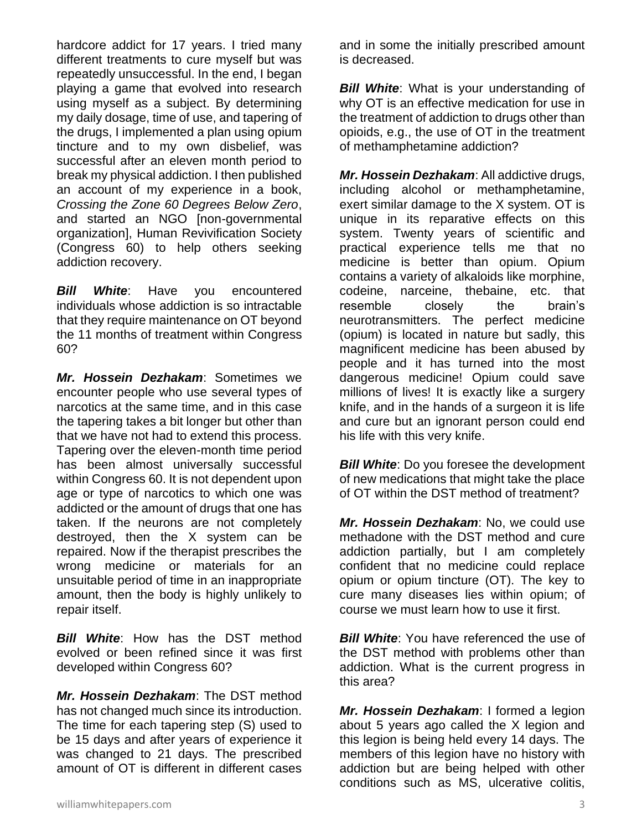hardcore addict for 17 years. I tried many different treatments to cure myself but was repeatedly unsuccessful. In the end, I began playing a game that evolved into research using myself as a subject. By determining my daily dosage, time of use, and tapering of the drugs, I implemented a plan using opium tincture and to my own disbelief, was successful after an eleven month period to break my physical addiction. I then published an account of my experience in a book, *Crossing the Zone 60 Degrees Below Zero*, and started an NGO [non-governmental organization], Human Revivification Society (Congress 60) to help others seeking addiction recovery.

**Bill White:** Have you encountered individuals whose addiction is so intractable that they require maintenance on OT beyond the 11 months of treatment within Congress 60?

*Mr. Hossein Dezhakam*: Sometimes we encounter people who use several types of narcotics at the same time, and in this case the tapering takes a bit longer but other than that we have not had to extend this process. Tapering over the eleven-month time period has been almost universally successful within Congress 60. It is not dependent upon age or type of narcotics to which one was addicted or the amount of drugs that one has taken. If the neurons are not completely destroyed, then the X system can be repaired. Now if the therapist prescribes the wrong medicine or materials for an unsuitable period of time in an inappropriate amount, then the body is highly unlikely to repair itself.

*Bill White*: How has the DST method evolved or been refined since it was first developed within Congress 60?

*Mr. Hossein Dezhakam*: The DST method has not changed much since its introduction. The time for each tapering step (S) used to be 15 days and after years of experience it was changed to 21 days. The prescribed amount of OT is different in different cases

and in some the initially prescribed amount is decreased.

*Bill White:* What is your understanding of why OT is an effective medication for use in the treatment of addiction to drugs other than opioids, e.g., the use of OT in the treatment of methamphetamine addiction?

*Mr. Hossein Dezhakam*: All addictive drugs, including alcohol or methamphetamine, exert similar damage to the X system. OT is unique in its reparative effects on this system. Twenty years of scientific and practical experience tells me that no medicine is better than opium. Opium contains a variety of alkaloids like morphine, codeine, narceine, thebaine, etc. that resemble closely the brain's neurotransmitters. The perfect medicine (opium) is located in nature but sadly, this magnificent medicine has been abused by people and it has turned into the most dangerous medicine! Opium could save millions of lives! It is exactly like a surgery knife, and in the hands of a surgeon it is life and cure but an ignorant person could end his life with this very knife.

*Bill White:* Do you foresee the development of new medications that might take the place of OT within the DST method of treatment?

*Mr. Hossein Dezhakam*: No, we could use methadone with the DST method and cure addiction partially, but I am completely confident that no medicine could replace opium or opium tincture (OT). The key to cure many diseases lies within opium; of course we must learn how to use it first.

*Bill White:* You have referenced the use of the DST method with problems other than addiction. What is the current progress in this area?

*Mr. Hossein Dezhakam*: I formed a legion about 5 years ago called the X legion and this legion is being held every 14 days. The members of this legion have no history with addiction but are being helped with other conditions such as MS, ulcerative colitis,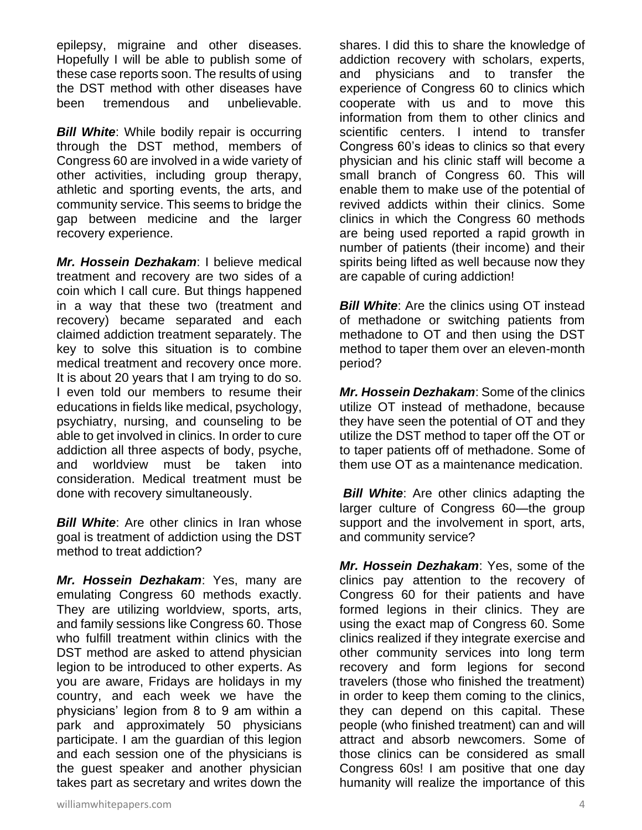epilepsy, migraine and other diseases. Hopefully I will be able to publish some of these case reports soon. The results of using the DST method with other diseases have been tremendous and unbelievable.

*Bill White:* While bodily repair is occurring through the DST method, members of Congress 60 are involved in a wide variety of other activities, including group therapy, athletic and sporting events, the arts, and community service. This seems to bridge the gap between medicine and the larger recovery experience.

*Mr. Hossein Dezhakam*: I believe medical treatment and recovery are two sides of a coin which I call cure. But things happened in a way that these two (treatment and recovery) became separated and each claimed addiction treatment separately. The key to solve this situation is to combine medical treatment and recovery once more. It is about 20 years that I am trying to do so. I even told our members to resume their educations in fields like medical, psychology, psychiatry, nursing, and counseling to be able to get involved in clinics. In order to cure addiction all three aspects of body, psyche, and worldview must be taken into consideration. Medical treatment must be done with recovery simultaneously.

*Bill White*: Are other clinics in Iran whose goal is treatment of addiction using the DST method to treat addiction?

*Mr. Hossein Dezhakam*: Yes, many are emulating Congress 60 methods exactly. They are utilizing worldview, sports, arts, and family sessions like Congress 60. Those who fulfill treatment within clinics with the DST method are asked to attend physician legion to be introduced to other experts. As you are aware, Fridays are holidays in my country, and each week we have the physicians' legion from 8 to 9 am within a park and approximately 50 physicians participate. I am the guardian of this legion and each session one of the physicians is the guest speaker and another physician takes part as secretary and writes down the

shares. I did this to share the knowledge of addiction recovery with scholars, experts, and physicians and to transfer the experience of Congress 60 to clinics which cooperate with us and to move this information from them to other clinics and scientific centers. I intend to transfer Congress 60's ideas to clinics so that every physician and his clinic staff will become a small branch of Congress 60. This will enable them to make use of the potential of revived addicts within their clinics. Some clinics in which the Congress 60 methods are being used reported a rapid growth in number of patients (their income) and their spirits being lifted as well because now they are capable of curing addiction!

**Bill White:** Are the clinics using OT instead of methadone or switching patients from methadone to OT and then using the DST method to taper them over an eleven-month period?

*Mr. Hossein Dezhakam*: Some of the clinics utilize OT instead of methadone, because they have seen the potential of OT and they utilize the DST method to taper off the OT or to taper patients off of methadone. Some of them use OT as a maintenance medication.

*Bill White*: Are other clinics adapting the larger culture of Congress 60—the group support and the involvement in sport, arts, and community service?

*Mr. Hossein Dezhakam*: Yes, some of the clinics pay attention to the recovery of Congress 60 for their patients and have formed legions in their clinics. They are using the exact map of Congress 60. Some clinics realized if they integrate exercise and other community services into long term recovery and form legions for second travelers (those who finished the treatment) in order to keep them coming to the clinics, they can depend on this capital. These people (who finished treatment) can and will attract and absorb newcomers. Some of those clinics can be considered as small Congress 60s! I am positive that one day humanity will realize the importance of this